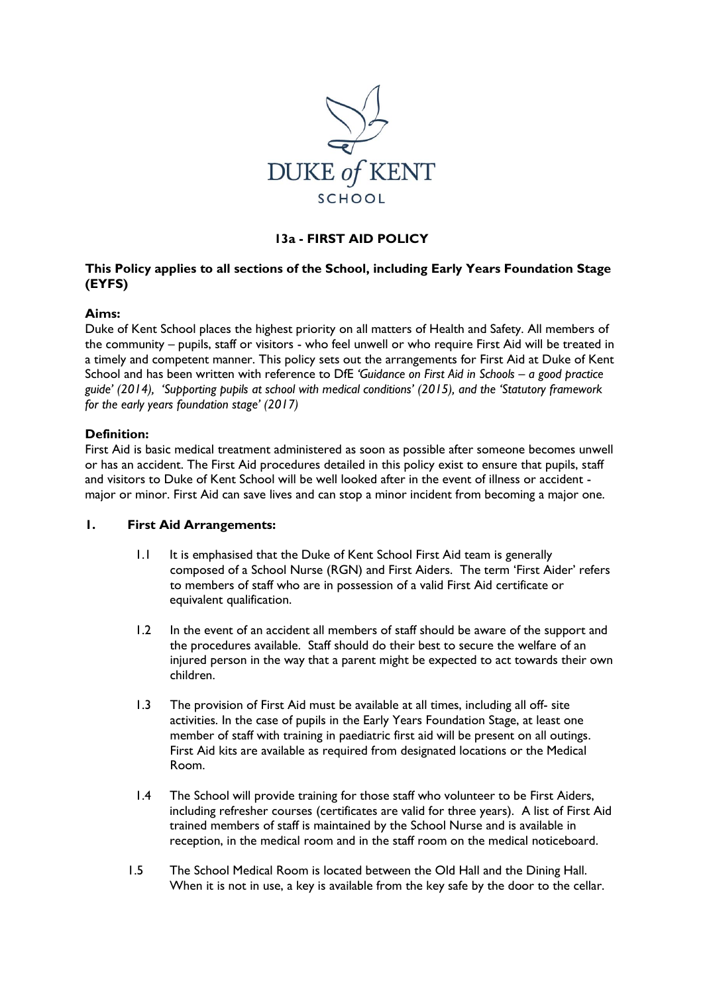

# **13a - FIRST AID POLICY**

# **This Policy applies to all sections of the School, including Early Years Foundation Stage (EYFS)**

### **Aims:**

Duke of Kent School places the highest priority on all matters of Health and Safety. All members of the community – pupils, staff or visitors - who feel unwell or who require First Aid will be treated in a timely and competent manner. This policy sets out the arrangements for First Aid at Duke of Kent School and has been written with reference to DfE *'Guidance on First Aid in Schools – a good practice guide' (2014), 'Supporting pupils at school with medical conditions' (2015), and the 'Statutory framework for the early years foundation stage' (2017)*

### **Definition:**

First Aid is basic medical treatment administered as soon as possible after someone becomes unwell or has an accident. The First Aid procedures detailed in this policy exist to ensure that pupils, staff and visitors to Duke of Kent School will be well looked after in the event of illness or accident major or minor. First Aid can save lives and can stop a minor incident from becoming a major one.

#### **1. First Aid Arrangements:**

- 1.1 It is emphasised that the Duke of Kent School First Aid team is generally composed of a School Nurse (RGN) and First Aiders. The term 'First Aider' refers to members of staff who are in possession of a valid First Aid certificate or equivalent qualification.
- 1.2 In the event of an accident all members of staff should be aware of the support and the procedures available. Staff should do their best to secure the welfare of an injured person in the way that a parent might be expected to act towards their own children.
- 1.3 The provision of First Aid must be available at all times, including all off- site activities. In the case of pupils in the Early Years Foundation Stage, at least one member of staff with training in paediatric first aid will be present on all outings. First Aid kits are available as required from designated locations or the Medical Room.
- 1.4 The School will provide training for those staff who volunteer to be First Aiders, including refresher courses (certificates are valid for three years). A list of First Aid trained members of staff is maintained by the School Nurse and is available in reception, in the medical room and in the staff room on the medical noticeboard.
- 1.5 The School Medical Room is located between the Old Hall and the Dining Hall. When it is not in use, a key is available from the key safe by the door to the cellar.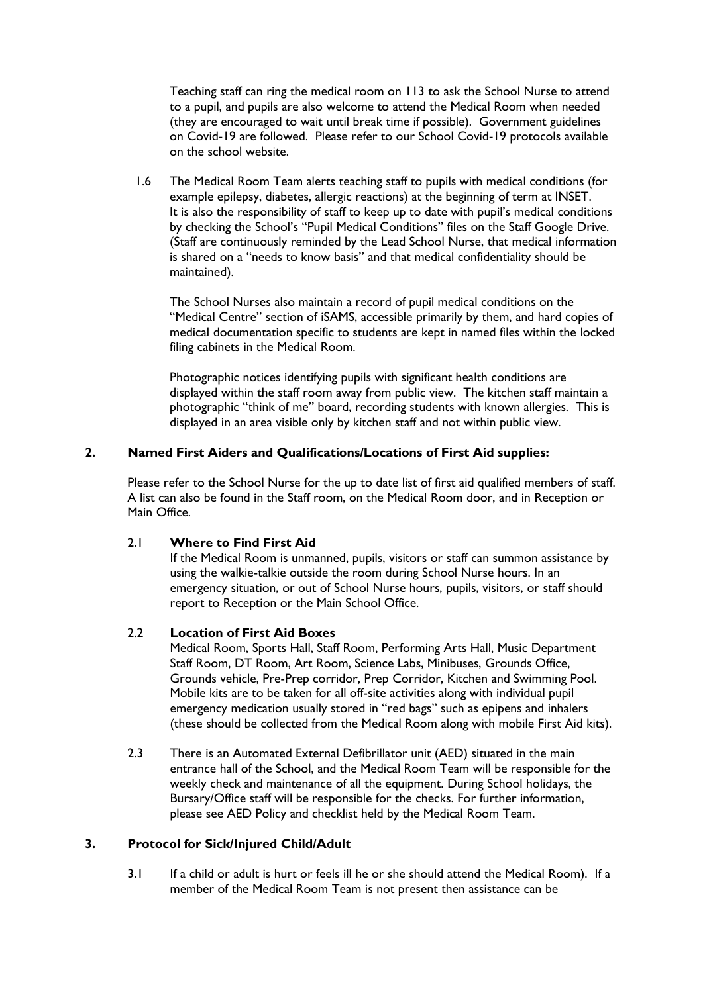Teaching staff can ring the medical room on 113 to ask the School Nurse to attend to a pupil, and pupils are also welcome to attend the Medical Room when needed (they are encouraged to wait until break time if possible). Government guidelines on Covid-19 are followed. Please refer to our School Covid-19 protocols available on the school website.

1.6 The Medical Room Team alerts teaching staff to pupils with medical conditions (for example epilepsy, diabetes, allergic reactions) at the beginning of term at INSET. It is also the responsibility of staff to keep up to date with pupil's medical conditions by checking the School's "Pupil Medical Conditions" files on the Staff Google Drive. (Staff are continuously reminded by the Lead School Nurse, that medical information is shared on a "needs to know basis" and that medical confidentiality should be maintained).

The School Nurses also maintain a record of pupil medical conditions on the "Medical Centre" section of iSAMS, accessible primarily by them, and hard copies of medical documentation specific to students are kept in named files within the locked filing cabinets in the Medical Room.

Photographic notices identifying pupils with significant health conditions are displayed within the staff room away from public view. The kitchen staff maintain a photographic "think of me" board, recording students with known allergies. This is displayed in an area visible only by kitchen staff and not within public view.

### **2. Named First Aiders and Qualifications/Locations of First Aid supplies:**

Please refer to the School Nurse for the up to date list of first aid qualified members of staff. A list can also be found in the Staff room, on the Medical Room door, and in Reception or Main Office.

#### 2.1 **Where to Find First Aid**

If the Medical Room is unmanned, pupils, visitors or staff can summon assistance by using the walkie-talkie outside the room during School Nurse hours. In an emergency situation, or out of School Nurse hours, pupils, visitors, or staff should report to Reception or the Main School Office.

#### 2.2 **Location of First Aid Boxes**

Medical Room, Sports Hall, Staff Room, Performing Arts Hall, Music Department Staff Room, DT Room, Art Room, Science Labs, Minibuses, Grounds Office, Grounds vehicle, Pre-Prep corridor, Prep Corridor, Kitchen and Swimming Pool. Mobile kits are to be taken for all off-site activities along with individual pupil emergency medication usually stored in "red bags" such as epipens and inhalers (these should be collected from the Medical Room along with mobile First Aid kits).

2.3 There is an Automated External Defibrillator unit (AED) situated in the main entrance hall of the School, and the Medical Room Team will be responsible for the weekly check and maintenance of all the equipment. During School holidays, the Bursary/Office staff will be responsible for the checks. For further information, please see AED Policy and checklist held by the Medical Room Team.

# **3. Protocol for Sick/Injured Child/Adult**

3.1 If a child or adult is hurt or feels ill he or she should attend the Medical Room). If a member of the Medical Room Team is not present then assistance can be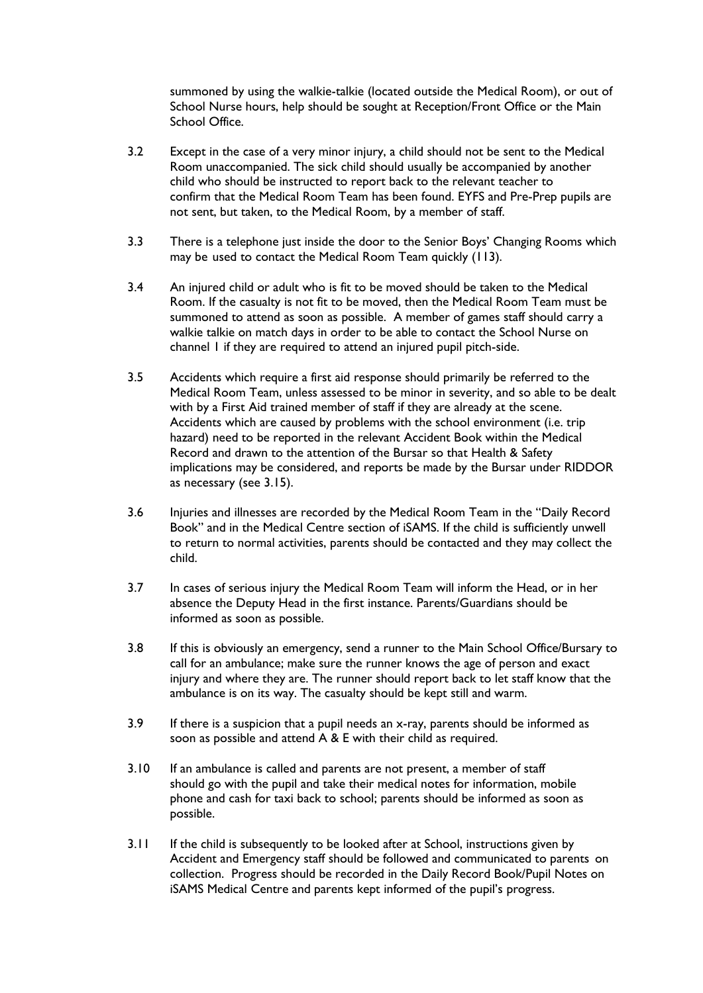summoned by using the walkie-talkie (located outside the Medical Room), or out of School Nurse hours, help should be sought at Reception/Front Office or the Main School Office.

- 3.2 Except in the case of a very minor injury, a child should not be sent to the Medical Room unaccompanied. The sick child should usually be accompanied by another child who should be instructed to report back to the relevant teacher to confirm that the Medical Room Team has been found. EYFS and Pre-Prep pupils are not sent, but taken, to the Medical Room, by a member of staff.
- 3.3 There is a telephone just inside the door to the Senior Boys' Changing Rooms which may be used to contact the Medical Room Team quickly (113).
- 3.4 An injured child or adult who is fit to be moved should be taken to the Medical Room. If the casualty is not fit to be moved, then the Medical Room Team must be summoned to attend as soon as possible. A member of games staff should carry a walkie talkie on match days in order to be able to contact the School Nurse on channel 1 if they are required to attend an injured pupil pitch-side.
- 3.5 Accidents which require a first aid response should primarily be referred to the Medical Room Team, unless assessed to be minor in severity, and so able to be dealt with by a First Aid trained member of staff if they are already at the scene. Accidents which are caused by problems with the school environment (i.e. trip hazard) need to be reported in the relevant Accident Book within the Medical Record and drawn to the attention of the Bursar so that Health & Safety implications may be considered, and reports be made by the Bursar under RIDDOR as necessary (see 3.15).
- 3.6 Injuries and illnesses are recorded by the Medical Room Team in the "Daily Record Book" and in the Medical Centre section of iSAMS. If the child is sufficiently unwell to return to normal activities, parents should be contacted and they may collect the child.
- 3.7 In cases of serious injury the Medical Room Team will inform the Head, or in her absence the Deputy Head in the first instance. Parents/Guardians should be informed as soon as possible.
- 3.8 If this is obviously an emergency, send a runner to the Main School Office/Bursary to call for an ambulance; make sure the runner knows the age of person and exact injury and where they are. The runner should report back to let staff know that the ambulance is on its way. The casualty should be kept still and warm.
- 3.9 If there is a suspicion that a pupil needs an x-ray, parents should be informed as soon as possible and attend A & E with their child as required.
- 3.10 If an ambulance is called and parents are not present, a member of staff should go with the pupil and take their medical notes for information, mobile phone and cash for taxi back to school; parents should be informed as soon as possible.
- 3.11 If the child is subsequently to be looked after at School, instructions given by Accident and Emergency staff should be followed and communicated to parents on collection. Progress should be recorded in the Daily Record Book/Pupil Notes on iSAMS Medical Centre and parents kept informed of the pupil's progress.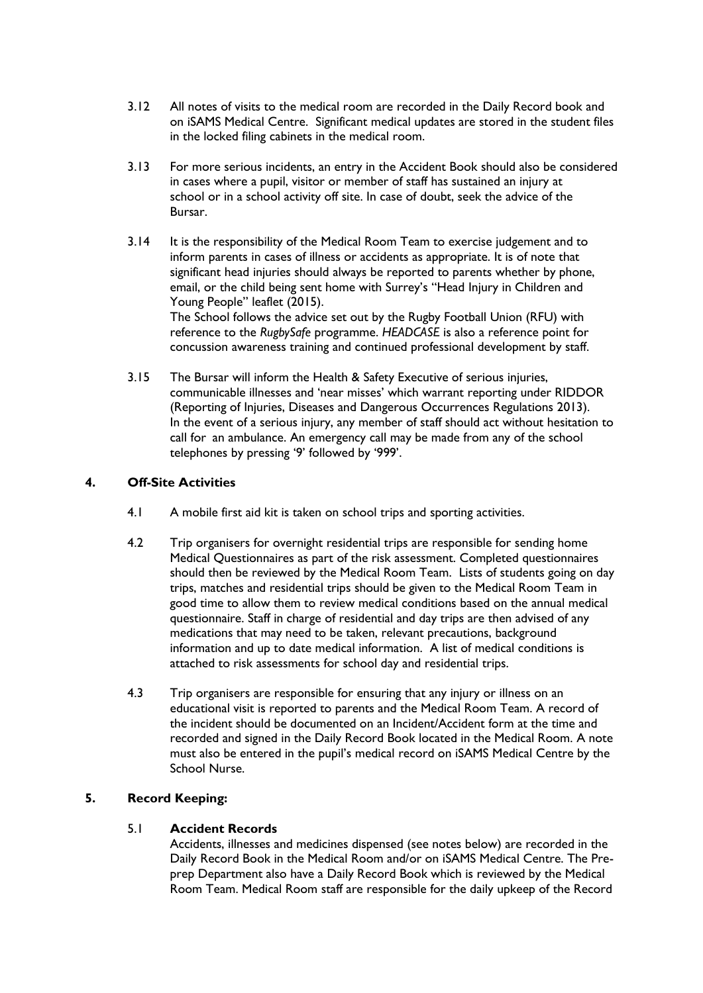- 3.12 All notes of visits to the medical room are recorded in the Daily Record book and on iSAMS Medical Centre. Significant medical updates are stored in the student files in the locked filing cabinets in the medical room.
- 3.13 For more serious incidents, an entry in the Accident Book should also be considered in cases where a pupil, visitor or member of staff has sustained an injury at school or in a school activity off site. In case of doubt, seek the advice of the Bursar.
- 3.14 It is the responsibility of the Medical Room Team to exercise judgement and to inform parents in cases of illness or accidents as appropriate. It is of note that significant head injuries should always be reported to parents whether by phone, email, or the child being sent home with Surrey's "Head Injury in Children and Young People" leaflet (2015).

The School follows the advice set out by the Rugby Football Union (RFU) with reference to the *RugbySafe* programme. *HEADCASE* is also a reference point for concussion awareness training and continued professional development by staff.

3.15 The Bursar will inform the Health & Safety Executive of serious injuries, communicable illnesses and 'near misses' which warrant reporting under RIDDOR (Reporting of Injuries, Diseases and Dangerous Occurrences Regulations 2013). In the event of a serious injury, any member of staff should act without hesitation to call for an ambulance. An emergency call may be made from any of the school telephones by pressing '9' followed by '999'.

# **4. Off-Site Activities**

- 4.1 A mobile first aid kit is taken on school trips and sporting activities.
- 4.2 Trip organisers for overnight residential trips are responsible for sending home Medical Questionnaires as part of the risk assessment. Completed questionnaires should then be reviewed by the Medical Room Team. Lists of students going on day trips, matches and residential trips should be given to the Medical Room Team in good time to allow them to review medical conditions based on the annual medical questionnaire. Staff in charge of residential and day trips are then advised of any medications that may need to be taken, relevant precautions, background information and up to date medical information. A list of medical conditions is attached to risk assessments for school day and residential trips.
- 4.3 Trip organisers are responsible for ensuring that any injury or illness on an educational visit is reported to parents and the Medical Room Team. A record of the incident should be documented on an Incident/Accident form at the time and recorded and signed in the Daily Record Book located in the Medical Room. A note must also be entered in the pupil's medical record on iSAMS Medical Centre by the School Nurse.

# **5. Record Keeping:**

# 5.1 **Accident Records**

Accidents, illnesses and medicines dispensed (see notes below) are recorded in the Daily Record Book in the Medical Room and/or on iSAMS Medical Centre. The Preprep Department also have a Daily Record Book which is reviewed by the Medical Room Team. Medical Room staff are responsible for the daily upkeep of the Record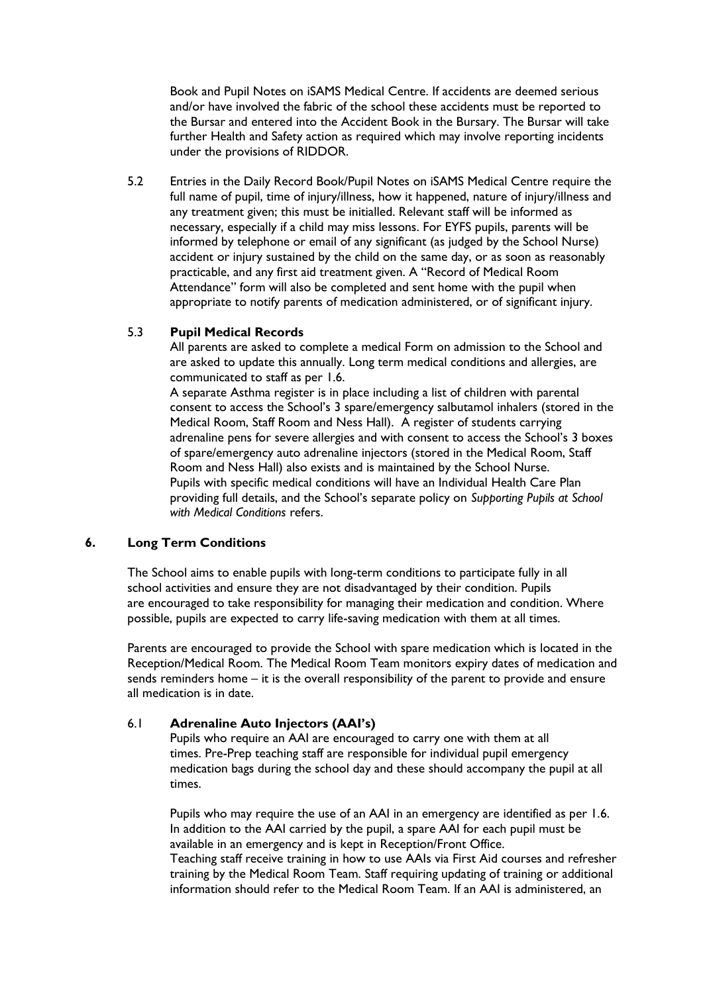Book and Pupil Notes on iSAMS Medical Centre. If accidents are deemed serious and/or have involved the fabric of the school these accidents must be reported to the Bursar and entered into the Accident Book in the Bursary. The Bursar will take further Health and Safety action as required which may involve reporting incidents under the provisions of RIDDOR.

5.2 Entries in the Daily Record Book/Pupil Notes on iSAMS Medical Centre require the full name of pupil, time of injury/illness, how it happened, nature of injury/illness and any treatment given; this must be initialled. Relevant staff will be informed as necessary, especially if a child may miss lessons. For EYFS pupils, parents will be informed by telephone or email of any significant (as judged by the School Nurse) accident or injury sustained by the child on the same day, or as soon as reasonably practicable, and any first aid treatment given. A "Record of Medical Room Attendance" form will also be completed and sent home with the pupil when appropriate to notify parents of medication administered, or of significant injury.

# 5.3 **Pupil Medical Records**

All parents are asked to complete a medical Form on admission to the School and are asked to update this annually. Long term medical conditions and allergies, are communicated to staff as per 1.6.

A separate Asthma register is in place including a list of children with parental consent to access the School's 3 spare/emergency salbutamol inhalers (stored in the Medical Room, Staff Room and Ness Hall). A register of students carrying adrenaline pens for severe allergies and with consent to access the School's 3 boxes of spare/emergency auto adrenaline injectors (stored in the Medical Room, Staff Room and Ness Hall) also exists and is maintained by the School Nurse. Pupils with specific medical conditions will have an Individual Health Care Plan providing full details, and the School's separate policy on *Supporting Pupils at School with Medical Conditions* refers.

#### **6. Long Term Conditions**

The School aims to enable pupils with long-term conditions to participate fully in all school activities and ensure they are not disadvantaged by their condition. Pupils are encouraged to take responsibility for managing their medication and condition. Where possible, pupils are expected to carry life-saving medication with them at all times.

Parents are encouraged to provide the School with spare medication which is located in the Reception/Medical Room. The Medical Room Team monitors expiry dates of medication and sends reminders home – it is the overall responsibility of the parent to provide and ensure all medication is in date.

### 6.1 **Adrenaline Auto Injectors (AAI's)**

Pupils who require an AAI are encouraged to carry one with them at all times. Pre-Prep teaching staff are responsible for individual pupil emergency medication bags during the school day and these should accompany the pupil at all times.

Pupils who may require the use of an AAI in an emergency are identified as per 1.6. In addition to the AAI carried by the pupil, a spare AAI for each pupil must be available in an emergency and is kept in Reception/Front Office. Teaching staff receive training in how to use AAIs via First Aid courses and refresher training by the Medical Room Team. Staff requiring updating of training or additional information should refer to the Medical Room Team. If an AAI is administered, an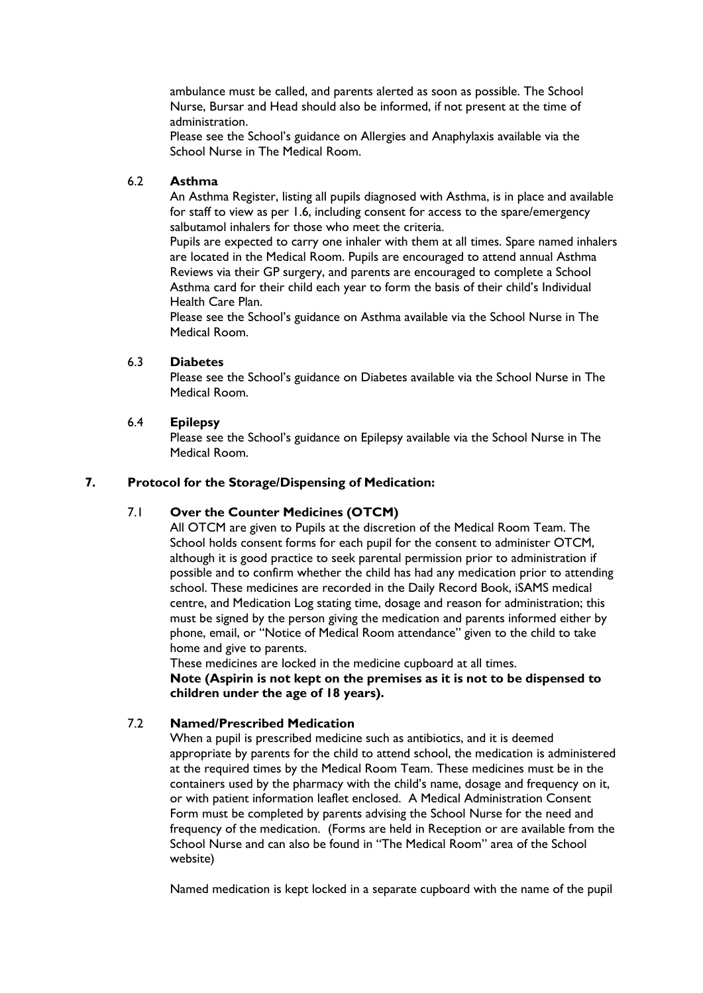ambulance must be called, and parents alerted as soon as possible. The School Nurse, Bursar and Head should also be informed, if not present at the time of administration.

Please see the School's guidance on Allergies and Anaphylaxis available via the School Nurse in The Medical Room.

### 6.2 **Asthma**

An Asthma Register, listing all pupils diagnosed with Asthma, is in place and available for staff to view as per 1.6, including consent for access to the spare/emergency salbutamol inhalers for those who meet the criteria.

Pupils are expected to carry one inhaler with them at all times. Spare named inhalers are located in the Medical Room. Pupils are encouraged to attend annual Asthma Reviews via their GP surgery, and parents are encouraged to complete a School Asthma card for their child each year to form the basis of their child's Individual Health Care Plan.

Please see the School's guidance on Asthma available via the School Nurse in The Medical Room.

### 6.3 **Diabetes**

Please see the School's guidance on Diabetes available via the School Nurse in The Medical Room.

### 6.4 **Epilepsy**

Please see the School's guidance on Epilepsy available via the School Nurse in The Medical Room.

### **7. Protocol for the Storage/Dispensing of Medication:**

# 7.1 **Over the Counter Medicines (OTCM)**

All OTCM are given to Pupils at the discretion of the Medical Room Team. The School holds consent forms for each pupil for the consent to administer OTCM, although it is good practice to seek parental permission prior to administration if possible and to confirm whether the child has had any medication prior to attending school. These medicines are recorded in the Daily Record Book, iSAMS medical centre, and Medication Log stating time, dosage and reason for administration; this must be signed by the person giving the medication and parents informed either by phone, email, or "Notice of Medical Room attendance" given to the child to take home and give to parents.

These medicines are locked in the medicine cupboard at all times. **Note (Aspirin is not kept on the premises as it is not to be dispensed to children under the age of 18 years).**

#### 7.2 **Named/Prescribed Medication**

When a pupil is prescribed medicine such as antibiotics, and it is deemed appropriate by parents for the child to attend school, the medication is administered at the required times by the Medical Room Team. These medicines must be in the containers used by the pharmacy with the child's name, dosage and frequency on it, or with patient information leaflet enclosed. A Medical Administration Consent Form must be completed by parents advising the School Nurse for the need and frequency of the medication. (Forms are held in Reception or are available from the School Nurse and can also be found in "The Medical Room" area of the School website)

Named medication is kept locked in a separate cupboard with the name of the pupil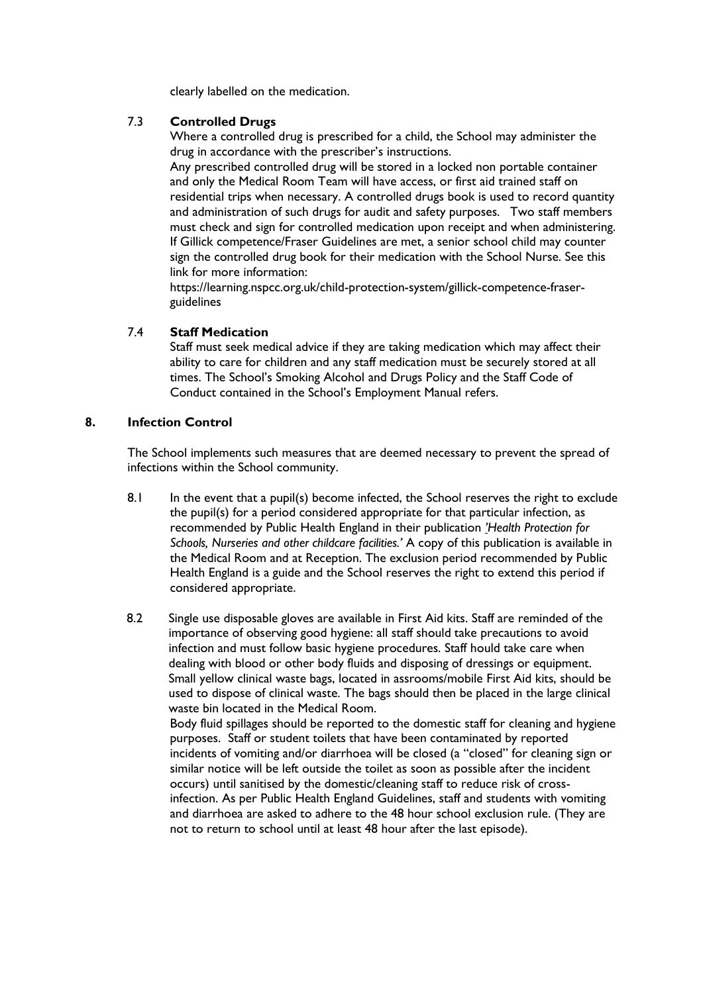clearly labelled on the medication.

### 7.3 **Controlled Drugs**

Where a controlled drug is prescribed for a child, the School may administer the drug in accordance with the prescriber's instructions.

Any prescribed controlled drug will be stored in a locked non portable container and only the Medical Room Team will have access, or first aid trained staff on residential trips when necessary. A controlled drugs book is used to record quantity and administration of such drugs for audit and safety purposes. Two staff members must check and sign for controlled medication upon receipt and when administering. If Gillick competence/Fraser Guidelines are met, a senior school child may counter sign the controlled drug book for their medication with the School Nurse. See this link for more information:

https://learning.nspcc.org.uk/child-protection-system/gillick-competence-fraserguidelines

### 7.4 **Staff Medication**

Staff must seek medical advice if they are taking medication which may affect their ability to care for children and any staff medication must be securely stored at all times. The School's Smoking Alcohol and Drugs Policy and the Staff Code of Conduct contained in the School's Employment Manual refers.

# **8. Infection Control**

The School implements such measures that are deemed necessary to prevent the spread of infections within the School community.

- 8.1 In the event that a pupil(s) become infected, the School reserves the right to exclude the pupil(s) for a period considered appropriate for that particular infection, as recommended by Public Health England in their publication *'Health Protection for Schools, Nurseries and other childcare facilities.'* A copy of this publication is available in the Medical Room and at Reception. The exclusion period recommended by Public Health England is a guide and the School reserves the right to extend this period if considered appropriate.
- 8.2 Single use disposable gloves are available in First Aid kits. Staff are reminded of the importance of observing good hygiene: all staff should take precautions to avoid infection and must follow basic hygiene procedures. Staff hould take care when dealing with blood or other body fluids and disposing of dressings or equipment. Small yellow clinical waste bags, located in assrooms/mobile First Aid kits, should be used to dispose of clinical waste. The bags should then be placed in the large clinical waste bin located in the Medical Room. Body fluid spillages should be reported to the domestic staff for cleaning and hygiene purposes. Staff or student toilets that have been contaminated by reported incidents of vomiting and/or diarrhoea will be closed (a "closed" for cleaning sign or similar notice will be left outside the toilet as soon as possible after the incident occurs) until sanitised by the domestic/cleaning staff to reduce risk of crossinfection. As per Public Health England Guidelines, staff and students with vomiting and diarrhoea are asked to adhere to the 48 hour school exclusion rule. (They are not to return to school until at least 48 hour after the last episode).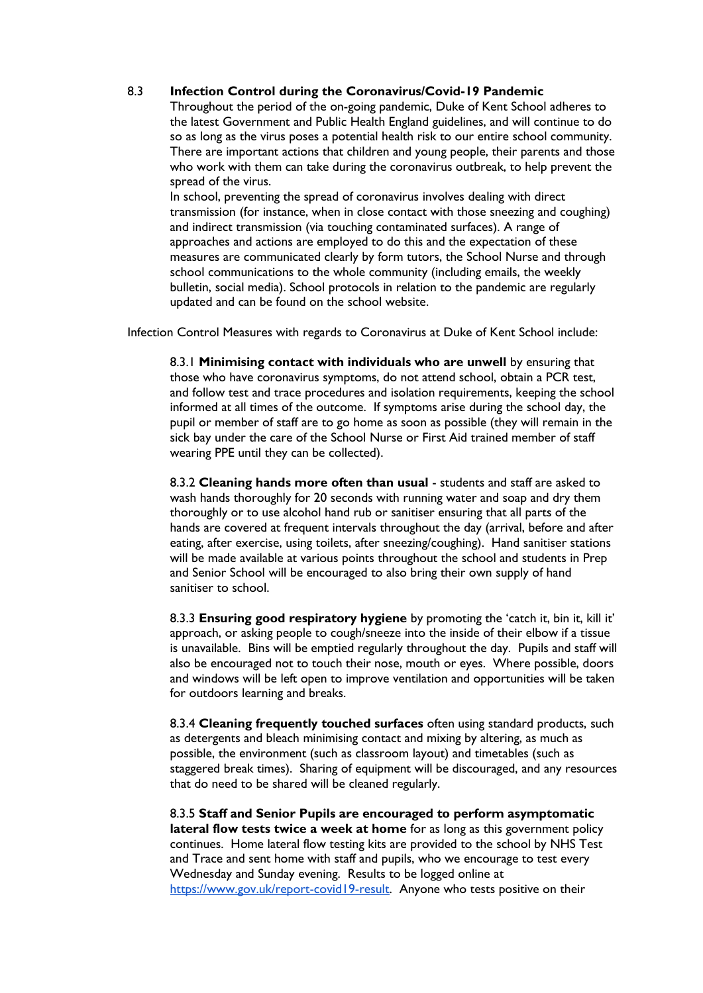### 8.3 **Infection Control during the Coronavirus/Covid-19 Pandemic**

Throughout the period of the on-going pandemic, Duke of Kent School adheres to the latest Government and Public Health England guidelines, and will continue to do so as long as the virus poses a potential health risk to our entire school community. There are important actions that children and young people, their parents and those who work with them can take during the coronavirus outbreak, to help prevent the spread of the virus.

In school, preventing the spread of coronavirus involves dealing with direct transmission (for instance, when in close contact with those sneezing and coughing) and indirect transmission (via touching contaminated surfaces). A range of approaches and actions are employed to do this and the expectation of these measures are communicated clearly by form tutors, the School Nurse and through school communications to the whole community (including emails, the weekly bulletin, social media). School protocols in relation to the pandemic are regularly updated and can be found on the school website.

Infection Control Measures with regards to Coronavirus at Duke of Kent School include:

8.3.1 **Minimising contact with individuals who are unwell** by ensuring that those who have coronavirus symptoms, do not attend school, obtain a PCR test, and follow test and trace procedures and isolation requirements, keeping the school informed at all times of the outcome. If symptoms arise during the school day, the pupil or member of staff are to go home as soon as possible (they will remain in the sick bay under the care of the School Nurse or First Aid trained member of staff wearing PPE until they can be collected).

8.3.2 **Cleaning hands more often than usual** - students and staff are asked to wash hands thoroughly for 20 seconds with running water and soap and dry them thoroughly or to use alcohol hand rub or sanitiser ensuring that all parts of the hands are covered at frequent intervals throughout the day (arrival, before and after eating, after exercise, using toilets, after sneezing/coughing). Hand sanitiser stations will be made available at various points throughout the school and students in Prep and Senior School will be encouraged to also bring their own supply of hand sanitiser to school.

8.3.3 **Ensuring good respiratory hygiene** by promoting the 'catch it, bin it, kill it' approach, or asking people to cough/sneeze into the inside of their elbow if a tissue is unavailable. Bins will be emptied regularly throughout the day. Pupils and staff will also be encouraged not to touch their nose, mouth or eyes. Where possible, doors and windows will be left open to improve ventilation and opportunities will be taken for outdoors learning and breaks.

8.3.4 **Cleaning frequently touched surfaces** often using standard products, such as detergents and bleach minimising contact and mixing by altering, as much as possible, the environment (such as classroom layout) and timetables (such as staggered break times). Sharing of equipment will be discouraged, and any resources that do need to be shared will be cleaned regularly.

8.3.5 **Staff and Senior Pupils are encouraged to perform asymptomatic lateral flow tests twice a week at home** for as long as this government policy continues. Home lateral flow testing kits are provided to the school by NHS Test and Trace and sent home with staff and pupils, who we encourage to test every Wednesday and Sunday evening. Results to be logged online at [https://www.gov.uk/report-covid19-result.](https://www.gov.uk/report-covid19-result) Anyone who tests positive on their